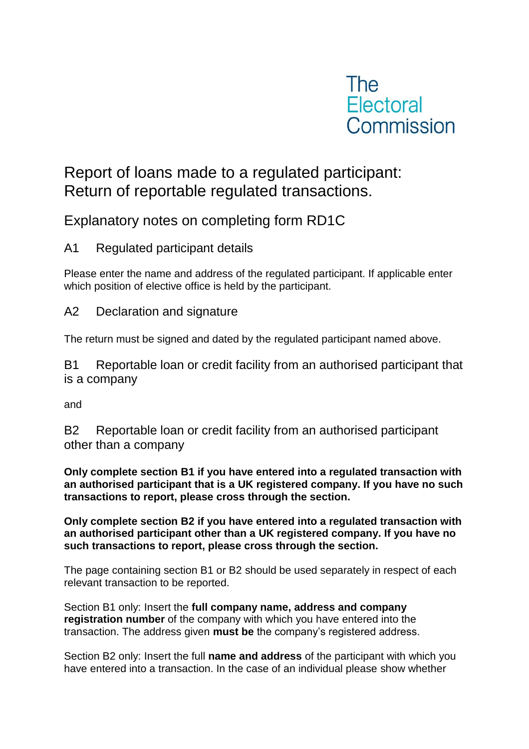

# Report of loans made to a regulated participant: Return of reportable regulated transactions.

## Explanatory notes on completing form RD1C

### A1 Regulated participant details

Please enter the name and address of the regulated participant. If applicable enter which position of elective office is held by the participant.

A2 Declaration and signature

The return must be signed and dated by the regulated participant named above.

B1 Reportable loan or credit facility from an authorised participant that is a company

and

B2 Reportable loan or credit facility from an authorised participant other than a company

**Only complete section B1 if you have entered into a regulated transaction with an authorised participant that is a UK registered company. If you have no such transactions to report, please cross through the section.**

**Only complete section B2 if you have entered into a regulated transaction with an authorised participant other than a UK registered company. If you have no such transactions to report, please cross through the section.**

The page containing section B1 or B2 should be used separately in respect of each relevant transaction to be reported.

Section B1 only: Insert the **full company name, address and company registration number** of the company with which you have entered into the transaction. The address given **must be** the company's registered address.

Section B2 only: Insert the full **name and address** of the participant with which you have entered into a transaction. In the case of an individual please show whether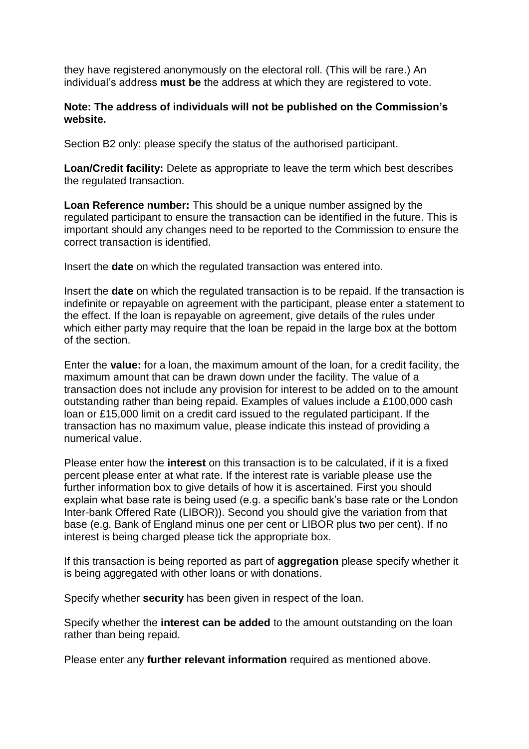they have registered anonymously on the electoral roll. (This will be rare.) An individual's address **must be** the address at which they are registered to vote.

#### **Note: The address of individuals will not be published on the Commission's website.**

Section B2 only: please specify the status of the authorised participant.

**Loan/Credit facility:** Delete as appropriate to leave the term which best describes the regulated transaction.

**Loan Reference number:** This should be a unique number assigned by the regulated participant to ensure the transaction can be identified in the future. This is important should any changes need to be reported to the Commission to ensure the correct transaction is identified.

Insert the **date** on which the regulated transaction was entered into.

Insert the **date** on which the regulated transaction is to be repaid. If the transaction is indefinite or repayable on agreement with the participant, please enter a statement to the effect. If the loan is repayable on agreement, give details of the rules under which either party may require that the loan be repaid in the large box at the bottom of the section.

Enter the **value:** for a loan, the maximum amount of the loan, for a credit facility, the maximum amount that can be drawn down under the facility. The value of a transaction does not include any provision for interest to be added on to the amount outstanding rather than being repaid. Examples of values include a £100,000 cash loan or £15,000 limit on a credit card issued to the regulated participant. If the transaction has no maximum value, please indicate this instead of providing a numerical value.

Please enter how the **interest** on this transaction is to be calculated, if it is a fixed percent please enter at what rate. If the interest rate is variable please use the further information box to give details of how it is ascertained. First you should explain what base rate is being used (e.g. a specific bank's base rate or the London Inter-bank Offered Rate (LIBOR)). Second you should give the variation from that base (e.g. Bank of England minus one per cent or LIBOR plus two per cent). If no interest is being charged please tick the appropriate box.

If this transaction is being reported as part of **aggregation** please specify whether it is being aggregated with other loans or with donations.

Specify whether **security** has been given in respect of the loan.

Specify whether the **interest can be added** to the amount outstanding on the loan rather than being repaid.

Please enter any **further relevant information** required as mentioned above.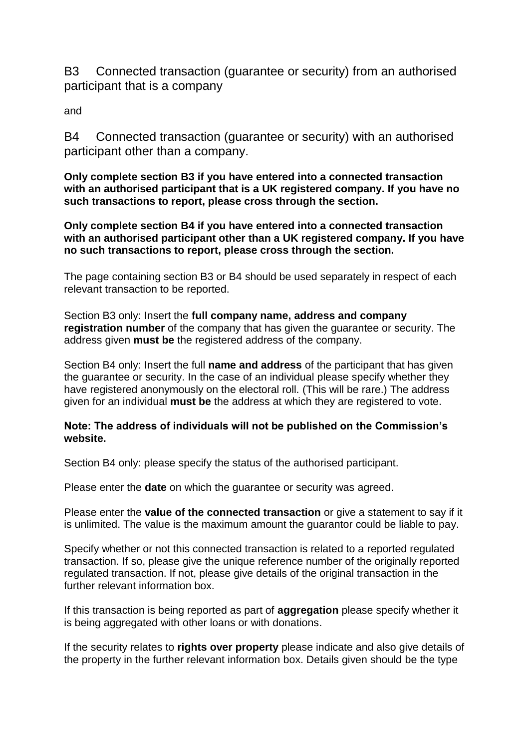B3 Connected transaction (guarantee or security) from an authorised participant that is a company

and

B4 Connected transaction (guarantee or security) with an authorised participant other than a company.

**Only complete section B3 if you have entered into a connected transaction with an authorised participant that is a UK registered company. If you have no such transactions to report, please cross through the section.**

**Only complete section B4 if you have entered into a connected transaction with an authorised participant other than a UK registered company. If you have no such transactions to report, please cross through the section.**

The page containing section B3 or B4 should be used separately in respect of each relevant transaction to be reported.

Section B3 only: Insert the **full company name, address and company registration number** of the company that has given the guarantee or security. The address given **must be** the registered address of the company.

Section B4 only: Insert the full **name and address** of the participant that has given the guarantee or security. In the case of an individual please specify whether they have registered anonymously on the electoral roll. (This will be rare.) The address given for an individual **must be** the address at which they are registered to vote.

#### **Note: The address of individuals will not be published on the Commission's website.**

Section B4 only: please specify the status of the authorised participant.

Please enter the **date** on which the guarantee or security was agreed.

Please enter the **value of the connected transaction** or give a statement to say if it is unlimited. The value is the maximum amount the guarantor could be liable to pay.

Specify whether or not this connected transaction is related to a reported regulated transaction. If so, please give the unique reference number of the originally reported regulated transaction. If not, please give details of the original transaction in the further relevant information box.

If this transaction is being reported as part of **aggregation** please specify whether it is being aggregated with other loans or with donations.

If the security relates to **rights over property** please indicate and also give details of the property in the further relevant information box. Details given should be the type